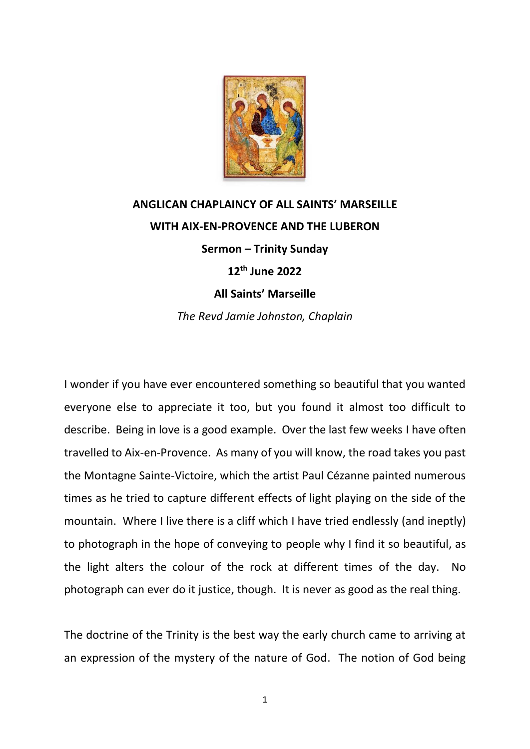

## **ANGLICAN CHAPLAINCY OF ALL SAINTS' MARSEILLE WITH AIX-EN-PROVENCE AND THE LUBERON Sermon – Trinity Sunday 12th June 2022 All Saints' Marseille** *The Revd Jamie Johnston, Chaplain*

I wonder if you have ever encountered something so beautiful that you wanted everyone else to appreciate it too, but you found it almost too difficult to describe. Being in love is a good example. Over the last few weeks I have often travelled to Aix-en-Provence. As many of you will know, the road takes you past the Montagne Sainte-Victoire, which the artist Paul Cézanne painted numerous times as he tried to capture different effects of light playing on the side of the mountain. Where I live there is a cliff which I have tried endlessly (and ineptly) to photograph in the hope of conveying to people why I find it so beautiful, as the light alters the colour of the rock at different times of the day. No photograph can ever do it justice, though. It is never as good as the real thing.

The doctrine of the Trinity is the best way the early church came to arriving at an expression of the mystery of the nature of God. The notion of God being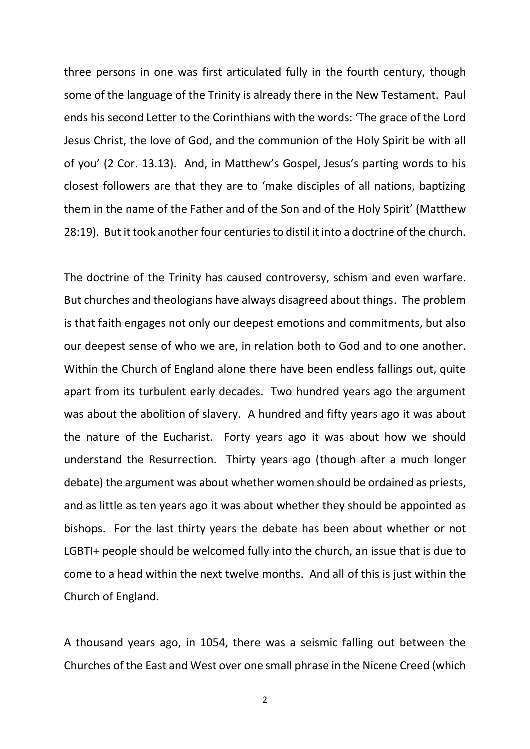three persons in one was first articulated fully in the fourth century, though some of the language of the Trinity is already there in the New Testament. Paul ends his second Letter to the Corinthians with the words: 'The grace of the Lord Jesus Christ, the love of God, and the communion of the Holy Spirit be with all of you' (2 Cor. 13.13). And, in Matthew's Gospel, Jesus's parting words to his closest followers are that they are to 'make disciples of all nations, baptizing them in the name of the Father and of the Son and of the Holy Spirit' (Matthew 28:19). But it took another four centuries to distil it into a doctrine of the church.

The doctrine of the Trinity has caused controversy, schism and even warfare. But churches and theologians have always disagreed about things. The problem is that faith engages not only our deepest emotions and commitments, but also our deepest sense of who we are, in relation both to God and to one another. Within the Church of England alone there have been endless fallings out, quite apart from its turbulent early decades. Two hundred years ago the argument was about the abolition of slavery. A hundred and fifty years ago it was about the nature of the Eucharist. Forty years ago it was about how we should understand the Resurrection. Thirty years ago (though after a much longer debate) the argument was about whether women should be ordained as priests, and as little as ten years ago it was about whether they should be appointed as bishops. For the last thirty years the debate has been about whether or not LGBTI+ people should be welcomed fully into the church, an issue that is due to come to a head within the next twelve months. And all of this is just within the Church of England.

A thousand years ago, in 1054, there was a seismic falling out between the Churches of the East and West over one small phrase in the Nicene Creed (which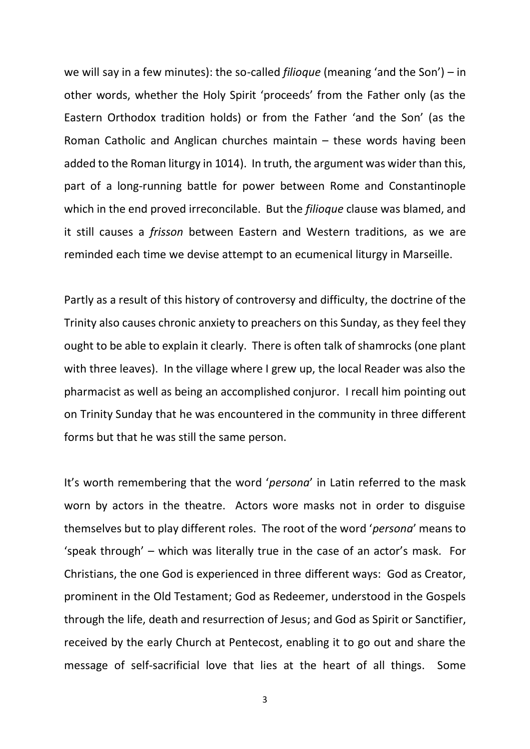we will say in a few minutes): the so-called *filioque* (meaning 'and the Son') – in other words, whether the Holy Spirit 'proceeds' from the Father only (as the Eastern Orthodox tradition holds) or from the Father 'and the Son' (as the Roman Catholic and Anglican churches maintain – these words having been added to the Roman liturgy in 1014). In truth, the argument was wider than this, part of a long-running battle for power between Rome and Constantinople which in the end proved irreconcilable. But the *filioque* clause was blamed, and it still causes a *frisson* between Eastern and Western traditions, as we are reminded each time we devise attempt to an ecumenical liturgy in Marseille.

Partly as a result of this history of controversy and difficulty, the doctrine of the Trinity also causes chronic anxiety to preachers on this Sunday, as they feel they ought to be able to explain it clearly. There is often talk of shamrocks (one plant with three leaves). In the village where I grew up, the local Reader was also the pharmacist as well as being an accomplished conjuror. I recall him pointing out on Trinity Sunday that he was encountered in the community in three different forms but that he was still the same person.

It's worth remembering that the word '*persona*' in Latin referred to the mask worn by actors in the theatre. Actors wore masks not in order to disguise themselves but to play different roles. The root of the word '*persona*' means to 'speak through' – which was literally true in the case of an actor's mask. For Christians, the one God is experienced in three different ways: God as Creator, prominent in the Old Testament; God as Redeemer, understood in the Gospels through the life, death and resurrection of Jesus; and God as Spirit or Sanctifier, received by the early Church at Pentecost, enabling it to go out and share the message of self-sacrificial love that lies at the heart of all things. Some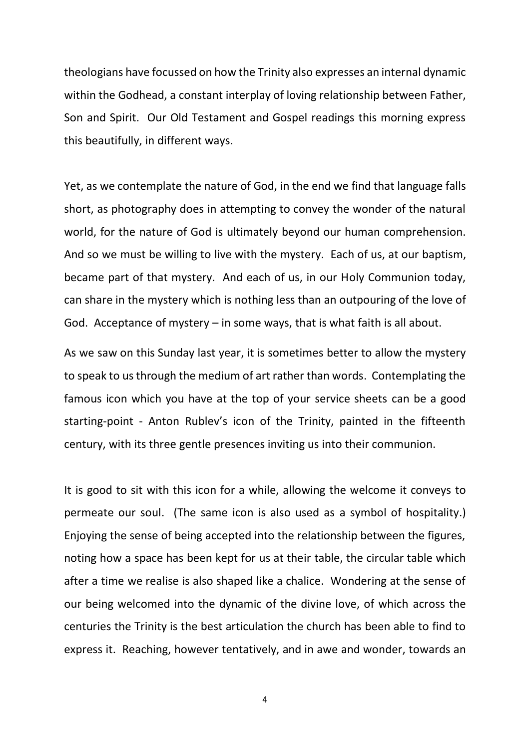theologians have focussed on how the Trinity also expresses an internal dynamic within the Godhead, a constant interplay of loving relationship between Father, Son and Spirit. Our Old Testament and Gospel readings this morning express this beautifully, in different ways.

Yet, as we contemplate the nature of God, in the end we find that language falls short, as photography does in attempting to convey the wonder of the natural world, for the nature of God is ultimately beyond our human comprehension. And so we must be willing to live with the mystery. Each of us, at our baptism, became part of that mystery. And each of us, in our Holy Communion today, can share in the mystery which is nothing less than an outpouring of the love of God. Acceptance of mystery – in some ways, that is what faith is all about.

As we saw on this Sunday last year, it is sometimes better to allow the mystery to speak to us through the medium of art rather than words. Contemplating the famous icon which you have at the top of your service sheets can be a good starting-point - Anton Rublev's icon of the Trinity, painted in the fifteenth century, with its three gentle presences inviting us into their communion.

It is good to sit with this icon for a while, allowing the welcome it conveys to permeate our soul. (The same icon is also used as a symbol of hospitality.) Enjoying the sense of being accepted into the relationship between the figures, noting how a space has been kept for us at their table, the circular table which after a time we realise is also shaped like a chalice. Wondering at the sense of our being welcomed into the dynamic of the divine love, of which across the centuries the Trinity is the best articulation the church has been able to find to express it. Reaching, however tentatively, and in awe and wonder, towards an